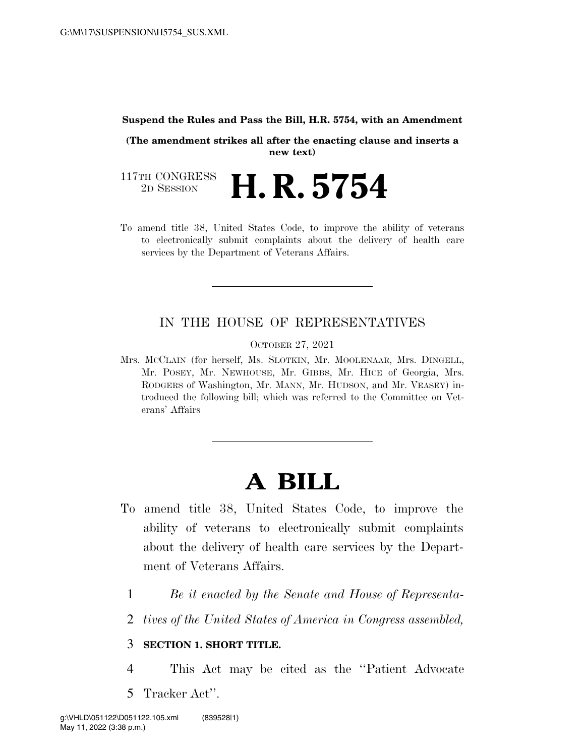## **Suspend the Rules and Pass the Bill, H.R. 5754, with an Amendment**

**(The amendment strikes all after the enacting clause and inserts a new text)** 

117TH CONGRESS<br>2D SESSION **H. R. 5754** 

To amend title 38, United States Code, to improve the ability of veterans to electronically submit complaints about the delivery of health care services by the Department of Veterans Affairs.

## IN THE HOUSE OF REPRESENTATIVES

OCTOBER 27, 2021

Mrs. MCCLAIN (for herself, Ms. SLOTKIN, Mr. MOOLENAAR, Mrs. DINGELL, Mr. POSEY, Mr. NEWHOUSE, Mr. GIBBS, Mr. HICE of Georgia, Mrs. RODGERS of Washington, Mr. MANN, Mr. HUDSON, and Mr. VEASEY) introduced the following bill; which was referred to the Committee on Veterans' Affairs

## **A BILL**

- To amend title 38, United States Code, to improve the ability of veterans to electronically submit complaints about the delivery of health care services by the Department of Veterans Affairs.
	- 1 *Be it enacted by the Senate and House of Representa-*
	- 2 *tives of the United States of America in Congress assembled,*

## 3 **SECTION 1. SHORT TITLE.**

- 4 This Act may be cited as the ''Patient Advocate
- 5 Tracker Act''.